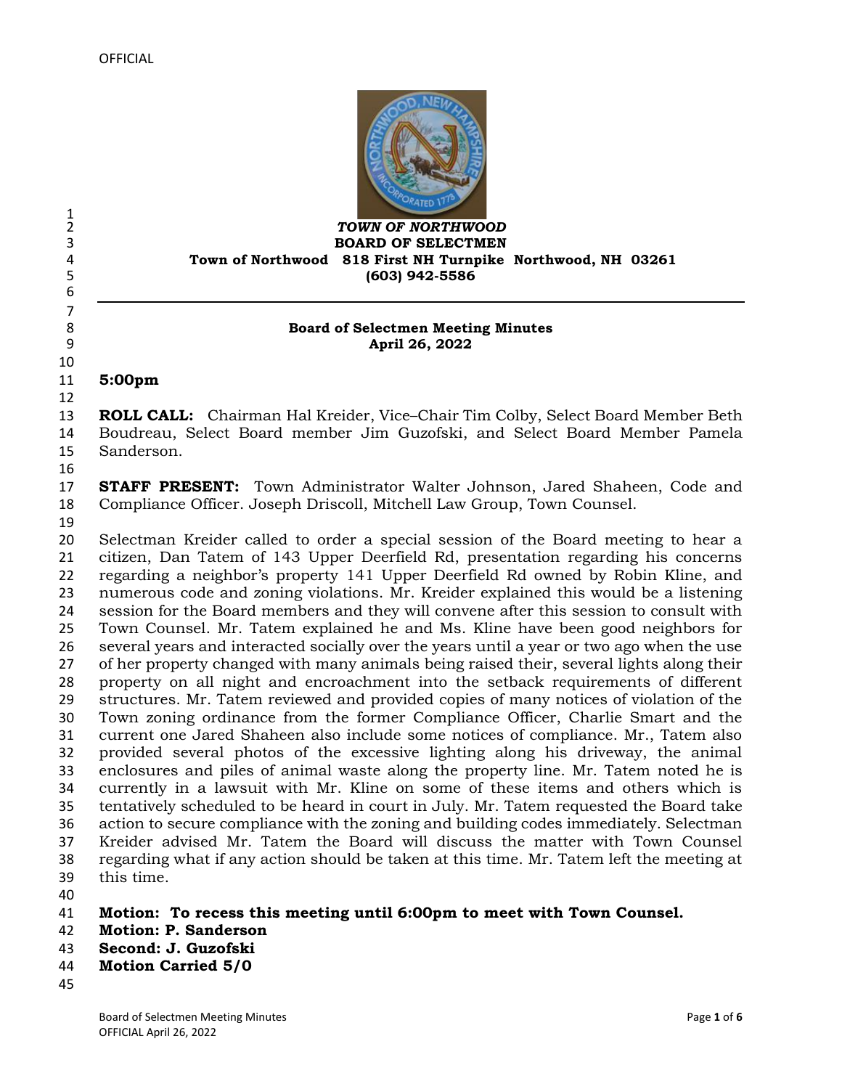

 *TOWN OF NORTHWOOD* **BOARD OF SELECTMEN Town of Northwood 818 First NH Turnpike Northwood, NH 03261 (603) 942-5586**

#### **Board of Selectmen Meeting Minutes April 26, 2022**

**5:00pm** 

 **ROLL CALL:** Chairman Hal Kreider, Vice–Chair Tim Colby, Select Board Member Beth Boudreau, Select Board member Jim Guzofski, and Select Board Member Pamela Sanderson.

 **STAFF PRESENT:** Town Administrator Walter Johnson, Jared Shaheen, Code and Compliance Officer. Joseph Driscoll, Mitchell Law Group, Town Counsel.

 $\frac{1}{2}$ 

 

 Selectman Kreider called to order a special session of the Board meeting to hear a citizen, Dan Tatem of 143 Upper Deerfield Rd, presentation regarding his concerns regarding a neighbor's property 141 Upper Deerfield Rd owned by Robin Kline, and numerous code and zoning violations. Mr. Kreider explained this would be a listening session for the Board members and they will convene after this session to consult with Town Counsel. Mr. Tatem explained he and Ms. Kline have been good neighbors for several years and interacted socially over the years until a year or two ago when the use of her property changed with many animals being raised their, several lights along their property on all night and encroachment into the setback requirements of different structures. Mr. Tatem reviewed and provided copies of many notices of violation of the Town zoning ordinance from the former Compliance Officer, Charlie Smart and the current one Jared Shaheen also include some notices of compliance. Mr., Tatem also provided several photos of the excessive lighting along his driveway, the animal enclosures and piles of animal waste along the property line. Mr. Tatem noted he is currently in a lawsuit with Mr. Kline on some of these items and others which is tentatively scheduled to be heard in court in July. Mr. Tatem requested the Board take action to secure compliance with the zoning and building codes immediately. Selectman Kreider advised Mr. Tatem the Board will discuss the matter with Town Counsel regarding what if any action should be taken at this time. Mr. Tatem left the meeting at this time.

- **Motion: To recess this meeting until 6:00pm to meet with Town Counsel.**
- **Motion: P. Sanderson**
- **Second: J. Guzofski**
- **Motion Carried 5/0**
-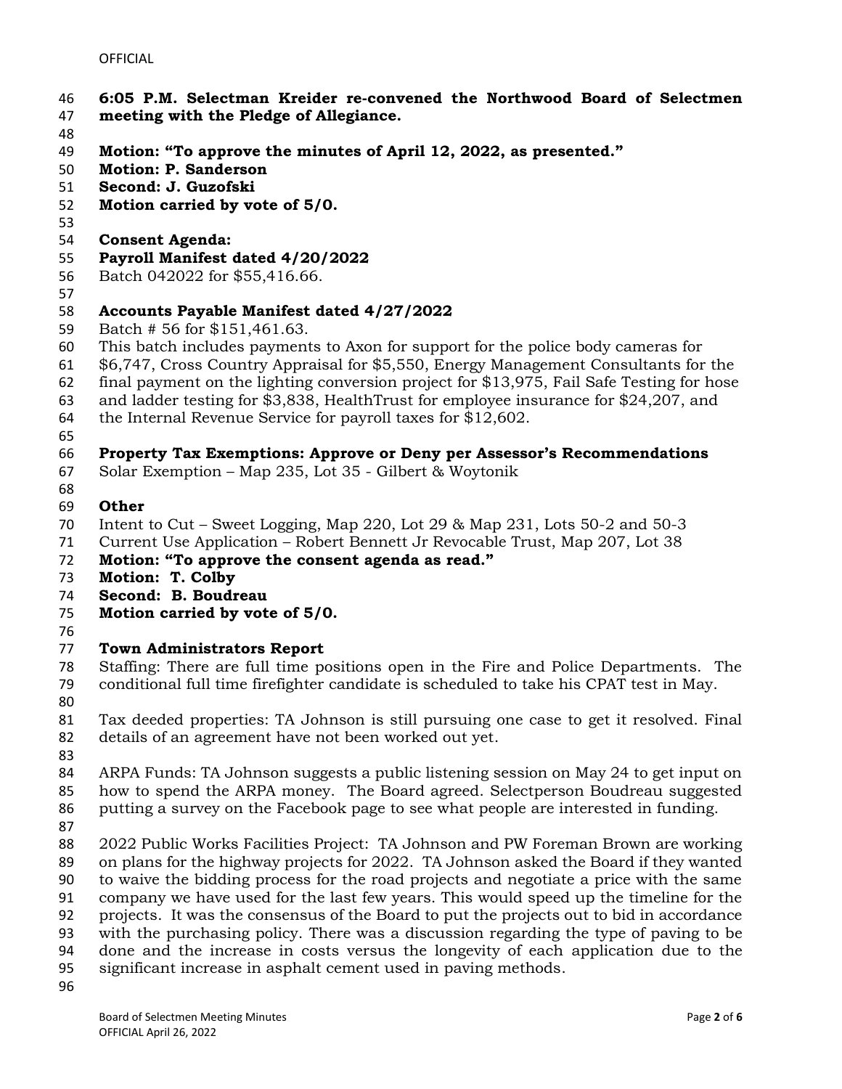- **6:05 P.M. Selectman Kreider re-convened the Northwood Board of Selectmen**
- **meeting with the Pledge of Allegiance.**
- 
- **Motion: "To approve the minutes of April 12, 2022, as presented."**
- **Motion: P. Sanderson**
- **Second: J. Guzofski**
- **Motion carried by vote of 5/0.**
- 
- **Consent Agenda:**
- **Payroll Manifest dated 4/20/2022**
- Batch 042022 for \$55,416.66.
- 

### **Accounts Payable Manifest dated 4/27/2022**

- Batch # 56 for \$151,461.63.
- This batch includes payments to Axon for support for the police body cameras for
- \$6,747, Cross Country Appraisal for \$5,550, Energy Management Consultants for the
- final payment on the lighting conversion project for \$13,975, Fail Safe Testing for hose
- and ladder testing for \$3,838, HealthTrust for employee insurance for \$24,207, and
- the Internal Revenue Service for payroll taxes for \$12,602.
- 

### **Property Tax Exemptions: Approve or Deny per Assessor's Recommendations**

- Solar Exemption Map 235, Lot 35 Gilbert & Woytonik
- 

# **Other**

- Intent to Cut Sweet Logging, Map 220, Lot 29 & Map 231, Lots 50-2 and 50-3
- Current Use Application Robert Bennett Jr Revocable Trust, Map 207, Lot 38
- **Motion: "To approve the consent agenda as read."**
- **Motion: T. Colby**
- **Second: B. Boudreau**
- **Motion carried by vote of 5/0.**
- 

# **Town Administrators Report**

- Staffing: There are full time positions open in the Fire and Police Departments. The conditional full time firefighter candidate is scheduled to take his CPAT test in May.
- 

 Tax deeded properties: TA Johnson is still pursuing one case to get it resolved. Final details of an agreement have not been worked out yet.

- 
- ARPA Funds: TA Johnson suggests a public listening session on May 24 to get input on how to spend the ARPA money. The Board agreed. Selectperson Boudreau suggested putting a survey on the Facebook page to see what people are interested in funding.
- 
- 2022 Public Works Facilities Project: TA Johnson and PW Foreman Brown are working on plans for the highway projects for 2022. TA Johnson asked the Board if they wanted to waive the bidding process for the road projects and negotiate a price with the same company we have used for the last few years. This would speed up the timeline for the projects. It was the consensus of the Board to put the projects out to bid in accordance with the purchasing policy. There was a discussion regarding the type of paving to be done and the increase in costs versus the longevity of each application due to the significant increase in asphalt cement used in paving methods.
-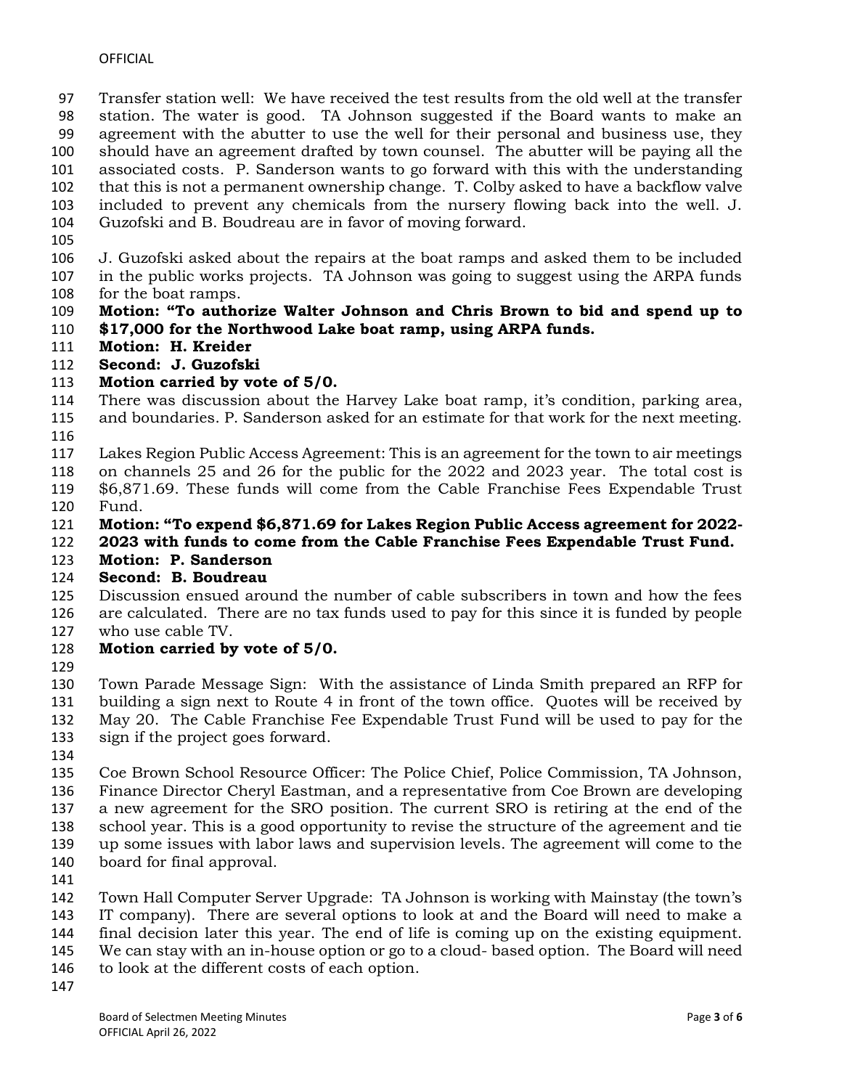Transfer station well: We have received the test results from the old well at the transfer station. The water is good. TA Johnson suggested if the Board wants to make an agreement with the abutter to use the well for their personal and business use, they should have an agreement drafted by town counsel. The abutter will be paying all the associated costs. P. Sanderson wants to go forward with this with the understanding that this is not a permanent ownership change. T. Colby asked to have a backflow valve included to prevent any chemicals from the nursery flowing back into the well. J. Guzofski and B. Boudreau are in favor of moving forward.

 J. Guzofski asked about the repairs at the boat ramps and asked them to be included in the public works projects. TA Johnson was going to suggest using the ARPA funds for the boat ramps.

- **Motion: "To authorize Walter Johnson and Chris Brown to bid and spend up to \$17,000 for the Northwood Lake boat ramp, using ARPA funds.**
- **Motion: H. Kreider**
- **Second: J. Guzofski**
- **Motion carried by vote of 5/0.**
- There was discussion about the Harvey Lake boat ramp, it's condition, parking area, and boundaries. P. Sanderson asked for an estimate for that work for the next meeting.
- 
- Lakes Region Public Access Agreement: This is an agreement for the town to air meetings
- on channels 25 and 26 for the public for the 2022 and 2023 year. The total cost is \$6,871.69. These funds will come from the Cable Franchise Fees Expendable Trust Fund.
- **Motion: "To expend \$6,871.69 for Lakes Region Public Access agreement for 2022-**
- **2023 with funds to come from the Cable Franchise Fees Expendable Trust Fund.**
- **Motion: P. Sanderson**
- **Second: B. Boudreau**
- Discussion ensued around the number of cable subscribers in town and how the fees are calculated. There are no tax funds used to pay for this since it is funded by people who use cable TV.
- **Motion carried by vote of 5/0.**
- 

 Town Parade Message Sign: With the assistance of Linda Smith prepared an RFP for building a sign next to Route 4 in front of the town office. Quotes will be received by May 20. The Cable Franchise Fee Expendable Trust Fund will be used to pay for the sign if the project goes forward.

 Coe Brown School Resource Officer: The Police Chief, Police Commission, TA Johnson, Finance Director Cheryl Eastman, and a representative from Coe Brown are developing a new agreement for the SRO position. The current SRO is retiring at the end of the school year. This is a good opportunity to revise the structure of the agreement and tie up some issues with labor laws and supervision levels. The agreement will come to the board for final approval.

 Town Hall Computer Server Upgrade: TA Johnson is working with Mainstay (the town's IT company). There are several options to look at and the Board will need to make a final decision later this year. The end of life is coming up on the existing equipment. We can stay with an in-house option or go to a cloud- based option. The Board will need to look at the different costs of each option.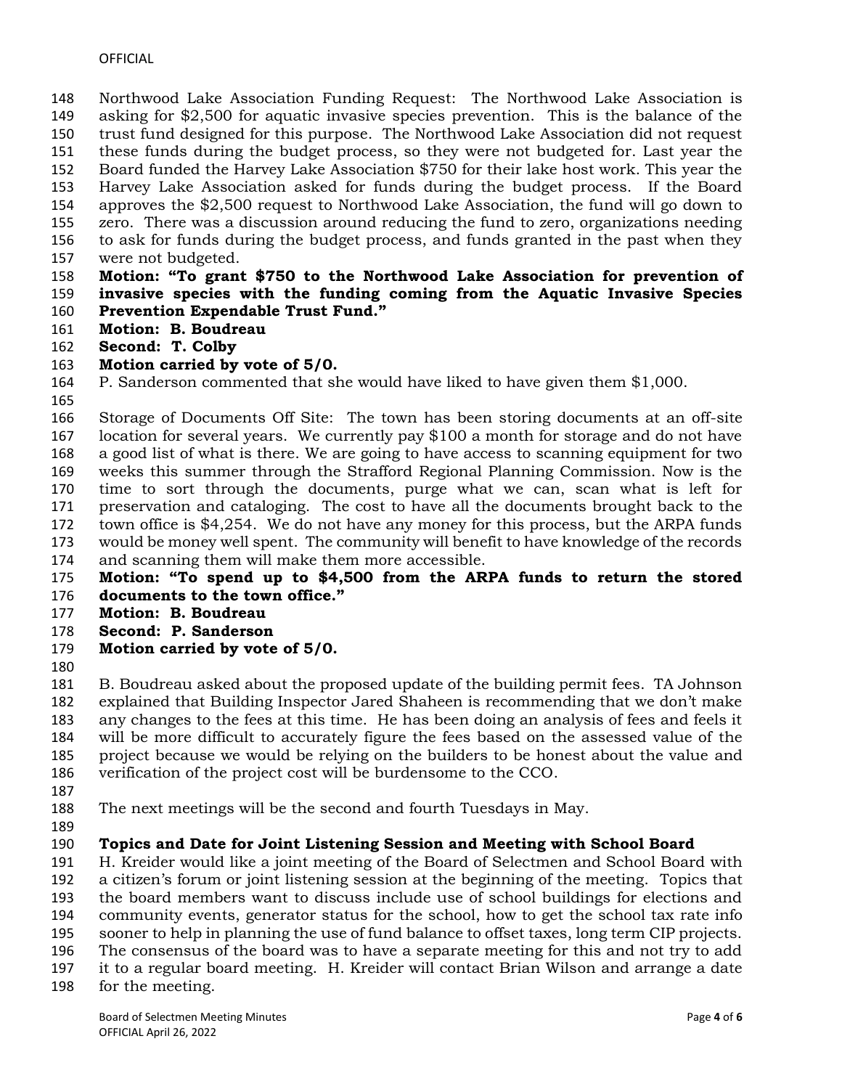Northwood Lake Association Funding Request: The Northwood Lake Association is asking for \$2,500 for aquatic invasive species prevention. This is the balance of the trust fund designed for this purpose. The Northwood Lake Association did not request these funds during the budget process, so they were not budgeted for. Last year the Board funded the Harvey Lake Association \$750 for their lake host work. This year the Harvey Lake Association asked for funds during the budget process. If the Board approves the \$2,500 request to Northwood Lake Association, the fund will go down to zero. There was a discussion around reducing the fund to zero, organizations needing to ask for funds during the budget process, and funds granted in the past when they were not budgeted.

#### **Motion: "To grant \$750 to the Northwood Lake Association for prevention of invasive species with the funding coming from the Aquatic Invasive Species Prevention Expendable Trust Fund."**

- **Motion: B. Boudreau**
- **Second: T. Colby**

#### **Motion carried by vote of 5/0.**

P. Sanderson commented that she would have liked to have given them \$1,000.

 Storage of Documents Off Site: The town has been storing documents at an off-site location for several years. We currently pay \$100 a month for storage and do not have a good list of what is there. We are going to have access to scanning equipment for two weeks this summer through the Strafford Regional Planning Commission. Now is the time to sort through the documents, purge what we can, scan what is left for preservation and cataloging. The cost to have all the documents brought back to the town office is \$4,254. We do not have any money for this process, but the ARPA funds would be money well spent. The community will benefit to have knowledge of the records and scanning them will make them more accessible.

 **Motion: "To spend up to \$4,500 from the ARPA funds to return the stored documents to the town office."**

- **Motion: B. Boudreau**
- **Second: P. Sanderson**
- **Motion carried by vote of 5/0.**
- 

 B. Boudreau asked about the proposed update of the building permit fees. TA Johnson explained that Building Inspector Jared Shaheen is recommending that we don't make any changes to the fees at this time. He has been doing an analysis of fees and feels it will be more difficult to accurately figure the fees based on the assessed value of the project because we would be relying on the builders to be honest about the value and verification of the project cost will be burdensome to the CCO.

- 
- The next meetings will be the second and fourth Tuesdays in May.
- 

# **Topics and Date for Joint Listening Session and Meeting with School Board**

 H. Kreider would like a joint meeting of the Board of Selectmen and School Board with a citizen's forum or joint listening session at the beginning of the meeting. Topics that

the board members want to discuss include use of school buildings for elections and

community events, generator status for the school, how to get the school tax rate info

- sooner to help in planning the use of fund balance to offset taxes, long term CIP projects.
- The consensus of the board was to have a separate meeting for this and not try to add
- it to a regular board meeting. H. Kreider will contact Brian Wilson and arrange a date
- for the meeting.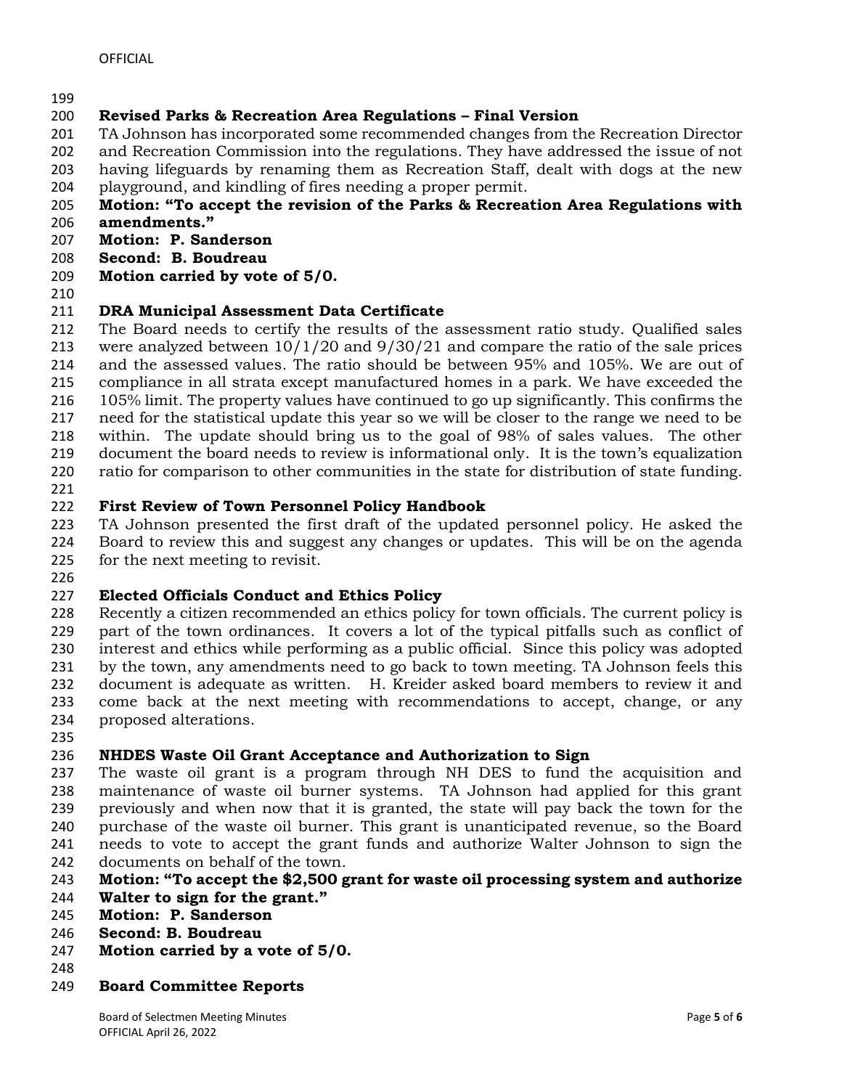# **Revised Parks & Recreation Area Regulations – Final Version**

TA Johnson has incorporated some recommended changes from the Recreation Director

and Recreation Commission into the regulations. They have addressed the issue of not

having lifeguards by renaming them as Recreation Staff, dealt with dogs at the new

playground, and kindling of fires needing a proper permit.

#### **Motion: "To accept the revision of the Parks & Recreation Area Regulations with amendments."**

- 
- **Motion: P. Sanderson**
- **Second: B. Boudreau Motion carried by vote of 5/0.**
- 

# **DRA Municipal Assessment Data Certificate**

 The Board needs to certify the results of the assessment ratio study. Qualified sales were analyzed between 10/1/20 and 9/30/21 and compare the ratio of the sale prices and the assessed values. The ratio should be between 95% and 105%. We are out of compliance in all strata except manufactured homes in a park. We have exceeded the 105% limit. The property values have continued to go up significantly. This confirms the need for the statistical update this year so we will be closer to the range we need to be within. The update should bring us to the goal of 98% of sales values. The other document the board needs to review is informational only. It is the town's equalization ratio for comparison to other communities in the state for distribution of state funding.

# **First Review of Town Personnel Policy Handbook**

 TA Johnson presented the first draft of the updated personnel policy. He asked the Board to review this and suggest any changes or updates. This will be on the agenda for the next meeting to revisit.

# **Elected Officials Conduct and Ethics Policy**

 Recently a citizen recommended an ethics policy for town officials. The current policy is part of the town ordinances. It covers a lot of the typical pitfalls such as conflict of interest and ethics while performing as a public official. Since this policy was adopted by the town, any amendments need to go back to town meeting. TA Johnson feels this document is adequate as written. H. Kreider asked board members to review it and come back at the next meeting with recommendations to accept, change, or any proposed alterations.

# **NHDES Waste Oil Grant Acceptance and Authorization to Sign**

 The waste oil grant is a program through NH DES to fund the acquisition and maintenance of waste oil burner systems. TA Johnson had applied for this grant previously and when now that it is granted, the state will pay back the town for the purchase of the waste oil burner. This grant is unanticipated revenue, so the Board needs to vote to accept the grant funds and authorize Walter Johnson to sign the documents on behalf of the town.

# **Motion: "To accept the \$2,500 grant for waste oil processing system and authorize**

- **Walter to sign for the grant."**
- **Motion: P. Sanderson**
- **Second: B. Boudreau**
- **Motion carried by a vote of 5/0.**
- 
- **Board Committee Reports**